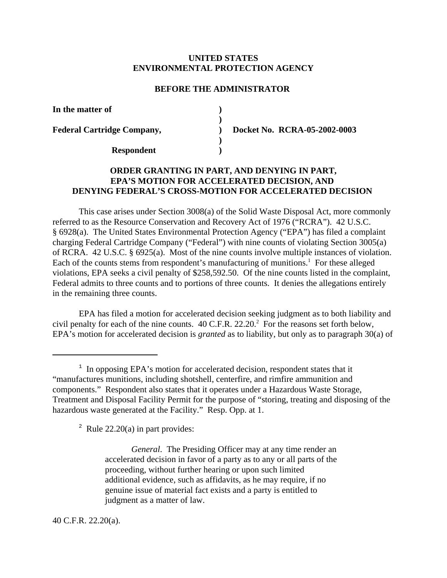# **UNITED STATES ENVIRONMENTAL PROTECTION AGENCY**

### **BEFORE THE ADMINISTRATOR**

| In the matter of                  |                              |
|-----------------------------------|------------------------------|
|                                   |                              |
| <b>Federal Cartridge Company,</b> | Docket No. RCRA-05-2002-0003 |
|                                   |                              |
| <b>Respondent</b>                 |                              |

# **ORDER GRANTING IN PART, AND DENYING IN PART, EPA'S MOTION FOR ACCELERATED DECISION, AND DENYING FEDERAL'S CROSS-MOTION FOR ACCELERATED DECISION**

This case arises under Section 3008(a) of the Solid Waste Disposal Act, more commonly referred to as the Resource Conservation and Recovery Act of 1976 ("RCRA"). 42 U.S.C. § 6928(a). The United States Environmental Protection Agency ("EPA") has filed a complaint charging Federal Cartridge Company ("Federal") with nine counts of violating Section 3005(a) of RCRA. 42 U.S.C. § 6925(a). Most of the nine counts involve multiple instances of violation. Each of the counts stems from respondent's manufacturing of munitions.<sup>1</sup> For these alleged violations, EPA seeks a civil penalty of \$258,592.50. Of the nine counts listed in the complaint, Federal admits to three counts and to portions of three counts. It denies the allegations entirely in the remaining three counts.

EPA has filed a motion for accelerated decision seeking judgment as to both liability and civil penalty for each of the nine counts.  $40 \text{ C.F.R. } 22.20$ .<sup>2</sup> For the reasons set forth below, EPA's motion for accelerated decision is *granted* as to liability, but only as to paragraph 30(a) of

 $2$  Rule 22.20(a) in part provides:

*General*. The Presiding Officer may at any time render an accelerated decision in favor of a party as to any or all parts of the proceeding, without further hearing or upon such limited additional evidence, such as affidavits, as he may require, if no genuine issue of material fact exists and a party is entitled to judgment as a matter of law.

40 C.F.R. 22.20(a).

 $1$  In opposing EPA's motion for accelerated decision, respondent states that it "manufactures munitions, including shotshell, centerfire, and rimfire ammunition and components." Respondent also states that it operates under a Hazardous Waste Storage, Treatment and Disposal Facility Permit for the purpose of "storing, treating and disposing of the hazardous waste generated at the Facility." Resp. Opp. at 1.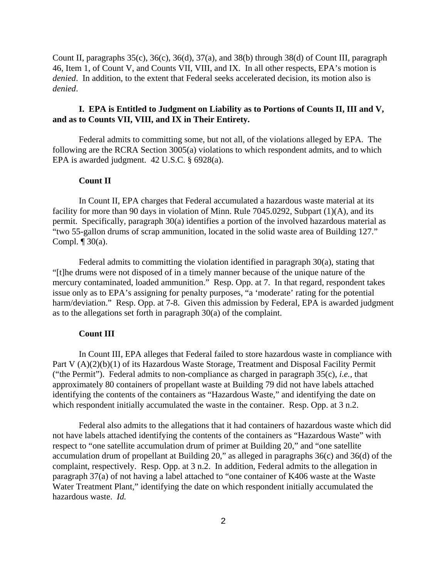Count II, paragraphs 35(c), 36(c), 36(d), 37(a), and 38(b) through 38(d) of Count III, paragraph 46, Item 1, of Count V, and Counts VII, VIII, and IX. In all other respects, EPA's motion is *denied*. In addition, to the extent that Federal seeks accelerated decision, its motion also is *denied*.

# **I. EPA is Entitled to Judgment on Liability as to Portions of Counts II, III and V, and as to Counts VII, VIII, and IX in Their Entirety.**

Federal admits to committing some, but not all, of the violations alleged by EPA. The following are the RCRA Section 3005(a) violations to which respondent admits, and to which EPA is awarded judgment. 42 U.S.C. § 6928(a).

# **Count II**

In Count II, EPA charges that Federal accumulated a hazardous waste material at its facility for more than 90 days in violation of Minn. Rule 7045.0292, Subpart (1)(A), and its permit. Specifically, paragraph 30(a) identifies a portion of the involved hazardous material as "two 55-gallon drums of scrap ammunition, located in the solid waste area of Building 127." Compl.  $\P$  30(a).

Federal admits to committing the violation identified in paragraph 30(a), stating that "[t]he drums were not disposed of in a timely manner because of the unique nature of the mercury contaminated, loaded ammunition." Resp. Opp. at 7. In that regard, respondent takes issue only as to EPA's assigning for penalty purposes, "a 'moderate' rating for the potential harm/deviation." Resp. Opp. at 7-8. Given this admission by Federal, EPA is awarded judgment as to the allegations set forth in paragraph 30(a) of the complaint.

# **Count III**

In Count III, EPA alleges that Federal failed to store hazardous waste in compliance with Part V (A)(2)(b)(1) of its Hazardous Waste Storage, Treatment and Disposal Facility Permit ("the Permit"). Federal admits to non-compliance as charged in paragraph 35(c), *i.e.,* that approximately 80 containers of propellant waste at Building 79 did not have labels attached identifying the contents of the containers as "Hazardous Waste," and identifying the date on which respondent initially accumulated the waste in the container. Resp. Opp. at 3 n.2.

Federal also admits to the allegations that it had containers of hazardous waste which did not have labels attached identifying the contents of the containers as "Hazardous Waste" with respect to "one satellite accumulation drum of primer at Building 20," and "one satellite accumulation drum of propellant at Building 20," as alleged in paragraphs 36(c) and 36(d) of the complaint, respectively. Resp. Opp. at 3 n.2. In addition, Federal admits to the allegation in paragraph 37(a) of not having a label attached to "one container of K406 waste at the Waste Water Treatment Plant," identifying the date on which respondent initially accumulated the hazardous waste. *Id.*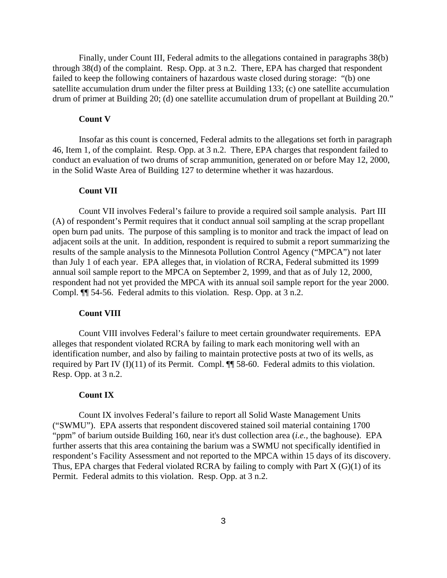Finally, under Count III, Federal admits to the allegations contained in paragraphs 38(b) through 38(d) of the complaint. Resp. Opp. at 3 n.2. There, EPA has charged that respondent failed to keep the following containers of hazardous waste closed during storage: "(b) one satellite accumulation drum under the filter press at Building 133; (c) one satellite accumulation drum of primer at Building 20; (d) one satellite accumulation drum of propellant at Building 20."

#### **Count V**

Insofar as this count is concerned, Federal admits to the allegations set forth in paragraph 46, Item 1, of the complaint. Resp. Opp. at 3 n.2. There, EPA charges that respondent failed to conduct an evaluation of two drums of scrap ammunition, generated on or before May 12, 2000, in the Solid Waste Area of Building 127 to determine whether it was hazardous.

#### **Count VII**

Count VII involves Federal's failure to provide a required soil sample analysis. Part III (A) of respondent's Permit requires that it conduct annual soil sampling at the scrap propellant open burn pad units. The purpose of this sampling is to monitor and track the impact of lead on adjacent soils at the unit. In addition, respondent is required to submit a report summarizing the results of the sample analysis to the Minnesota Pollution Control Agency ("MPCA") not later than July 1 of each year. EPA alleges that, in violation of RCRA, Federal submitted its 1999 annual soil sample report to the MPCA on September 2, 1999, and that as of July 12, 2000, respondent had not yet provided the MPCA with its annual soil sample report for the year 2000. Compl. ¶¶ 54-56. Federal admits to this violation. Resp. Opp. at 3 n.2.

# **Count VIII**

Count VIII involves Federal's failure to meet certain groundwater requirements. EPA alleges that respondent violated RCRA by failing to mark each monitoring well with an identification number, and also by failing to maintain protective posts at two of its wells, as required by Part IV (I)(11) of its Permit. Compl.  $\P$  58-60. Federal admits to this violation. Resp. Opp. at 3 n.2.

#### **Count IX**

Count IX involves Federal's failure to report all Solid Waste Management Units ("SWMU"). EPA asserts that respondent discovered stained soil material containing 1700 "ppm" of barium outside Building 160, near it's dust collection area (*i.e.,* the baghouse). EPA further asserts that this area containing the barium was a SWMU not specifically identified in respondent's Facility Assessment and not reported to the MPCA within 15 days of its discovery. Thus, EPA charges that Federal violated RCRA by failing to comply with Part  $X(G)(1)$  of its Permit. Federal admits to this violation. Resp. Opp. at 3 n.2.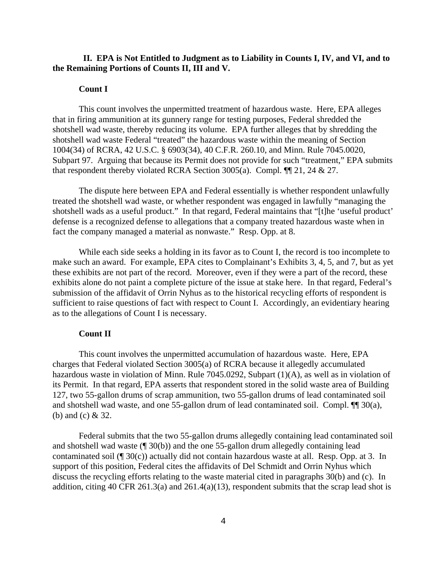# **II. EPA is Not Entitled to Judgment as to Liability in Counts I, IV, and VI, and to the Remaining Portions of Counts II, III and V.**

### **Count I**

This count involves the unpermitted treatment of hazardous waste. Here, EPA alleges that in firing ammunition at its gunnery range for testing purposes, Federal shredded the shotshell wad waste, thereby reducing its volume. EPA further alleges that by shredding the shotshell wad waste Federal "treated" the hazardous waste within the meaning of Section 1004(34) of RCRA, 42 U.S.C. § 6903(34), 40 C.F.R. 260.10, and Minn. Rule 7045.0020, Subpart 97. Arguing that because its Permit does not provide for such "treatment," EPA submits that respondent thereby violated RCRA Section 3005(a). Compl.  $\P$  1, 24 & 27.

The dispute here between EPA and Federal essentially is whether respondent unlawfully treated the shotshell wad waste, or whether respondent was engaged in lawfully "managing the shotshell wads as a useful product." In that regard, Federal maintains that "[t]he 'useful product' defense is a recognized defense to allegations that a company treated hazardous waste when in fact the company managed a material as nonwaste." Resp. Opp. at 8.

While each side seeks a holding in its favor as to Count I, the record is too incomplete to make such an award. For example, EPA cites to Complainant's Exhibits 3, 4, 5, and 7, but as yet these exhibits are not part of the record. Moreover, even if they were a part of the record, these exhibits alone do not paint a complete picture of the issue at stake here. In that regard, Federal's submission of the affidavit of Orrin Nyhus as to the historical recycling efforts of respondent is sufficient to raise questions of fact with respect to Count I. Accordingly, an evidentiary hearing as to the allegations of Count I is necessary.

# **Count II**

This count involves the unpermitted accumulation of hazardous waste. Here, EPA charges that Federal violated Section 3005(a) of RCRA because it allegedly accumulated hazardous waste in violation of Minn. Rule 7045.0292, Subpart (1)(A), as well as in violation of its Permit. In that regard, EPA asserts that respondent stored in the solid waste area of Building 127, two 55-gallon drums of scrap ammunition, two 55-gallon drums of lead contaminated soil and shotshell wad waste, and one 55-gallon drum of lead contaminated soil. Compl. ¶¶ 30(a), (b) and (c) & 32.

Federal submits that the two 55-gallon drums allegedly containing lead contaminated soil and shotshell wad waste (¶ 30(b)) and the one 55-gallon drum allegedly containing lead contaminated soil (¶ 30(c)) actually did not contain hazardous waste at all. Resp. Opp. at 3. In support of this position, Federal cites the affidavits of Del Schmidt and Orrin Nyhus which discuss the recycling efforts relating to the waste material cited in paragraphs 30(b) and (c). In addition, citing 40 CFR 261.3(a) and 261.4(a)(13), respondent submits that the scrap lead shot is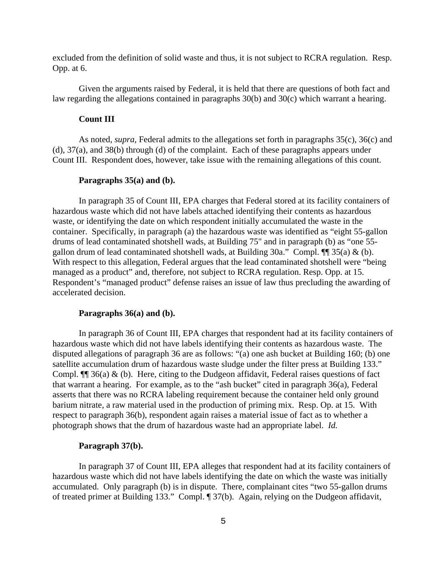excluded from the definition of solid waste and thus, it is not subject to RCRA regulation. Resp. Opp. at 6.

Given the arguments raised by Federal, it is held that there are questions of both fact and law regarding the allegations contained in paragraphs 30(b) and 30(c) which warrant a hearing.

#### **Count III**

As noted, *supra*, Federal admits to the allegations set forth in paragraphs 35(c), 36(c) and (d), 37(a), and 38(b) through (d) of the complaint. Each of these paragraphs appears under Count III. Respondent does, however, take issue with the remaining allegations of this count.

### **Paragraphs 35(a) and (b).**

In paragraph 35 of Count III, EPA charges that Federal stored at its facility containers of hazardous waste which did not have labels attached identifying their contents as hazardous waste, or identifying the date on which respondent initially accumulated the waste in the container. Specifically, in paragraph (a) the hazardous waste was identified as "eight 55-gallon drums of lead contaminated shotshell wads, at Building 75" and in paragraph (b) as "one 55 gallon drum of lead contaminated shotshell wads, at Building  $30a$ ." Compl.  $\P\P$   $35(a) \& (b)$ . With respect to this allegation, Federal argues that the lead contaminated shotshell were "being managed as a product" and, therefore, not subject to RCRA regulation. Resp. Opp. at 15. Respondent's "managed product" defense raises an issue of law thus precluding the awarding of accelerated decision.

### **Paragraphs 36(a) and (b).**

In paragraph 36 of Count III, EPA charges that respondent had at its facility containers of hazardous waste which did not have labels identifying their contents as hazardous waste. The disputed allegations of paragraph 36 are as follows: "(a) one ash bucket at Building 160; (b) one satellite accumulation drum of hazardous waste sludge under the filter press at Building 133." Compl.  $\P$  36(a) & (b). Here, citing to the Dudgeon affidavit, Federal raises questions of fact that warrant a hearing. For example, as to the "ash bucket" cited in paragraph 36(a), Federal asserts that there was no RCRA labeling requirement because the container held only ground barium nitrate, a raw material used in the production of priming mix. Resp. Op. at 15. With respect to paragraph 36(b), respondent again raises a material issue of fact as to whether a photograph shows that the drum of hazardous waste had an appropriate label. *Id.*

### **Paragraph 37(b).**

In paragraph 37 of Count III, EPA alleges that respondent had at its facility containers of hazardous waste which did not have labels identifying the date on which the waste was initially accumulated. Only paragraph (b) is in dispute. There, complainant cites "two 55-gallon drums of treated primer at Building 133." Compl. ¶ 37(b). Again, relying on the Dudgeon affidavit,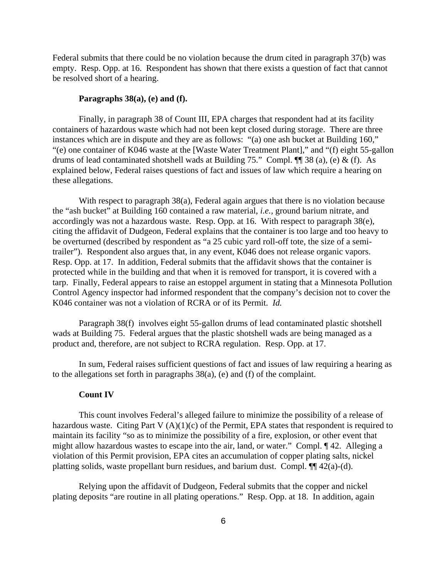Federal submits that there could be no violation because the drum cited in paragraph 37(b) was empty. Resp. Opp. at 16. Respondent has shown that there exists a question of fact that cannot be resolved short of a hearing.

### **Paragraphs 38(a), (e) and (f).**

Finally, in paragraph 38 of Count III, EPA charges that respondent had at its facility containers of hazardous waste which had not been kept closed during storage. There are three instances which are in dispute and they are as follows: "(a) one ash bucket at Building 160," "(e) one container of K046 waste at the [Waste Water Treatment Plant]," and "(f) eight 55-gallon drums of lead contaminated shotshell wads at Building 75." Compl.  $\P$  38 (a), (e) & (f). As explained below, Federal raises questions of fact and issues of law which require a hearing on these allegations.

With respect to paragraph 38(a), Federal again argues that there is no violation because the "ash bucket" at Building 160 contained a raw material, *i.e.,* ground barium nitrate, and accordingly was not a hazardous waste. Resp. Opp. at 16. With respect to paragraph 38(e), citing the affidavit of Dudgeon, Federal explains that the container is too large and too heavy to be overturned (described by respondent as "a 25 cubic yard roll-off tote, the size of a semitrailer"). Respondent also argues that, in any event, K046 does not release organic vapors. Resp. Opp. at 17. In addition, Federal submits that the affidavit shows that the container is protected while in the building and that when it is removed for transport, it is covered with a tarp. Finally, Federal appears to raise an estoppel argument in stating that a Minnesota Pollution Control Agency inspector had informed respondent that the company's decision not to cover the K046 container was not a violation of RCRA or of its Permit. *Id.*

Paragraph 38(f) involves eight 55-gallon drums of lead contaminated plastic shotshell wads at Building 75. Federal argues that the plastic shotshell wads are being managed as a product and, therefore, are not subject to RCRA regulation. Resp. Opp. at 17.

In sum, Federal raises sufficient questions of fact and issues of law requiring a hearing as to the allegations set forth in paragraphs 38(a), (e) and (f) of the complaint.

### **Count IV**

This count involves Federal's alleged failure to minimize the possibility of a release of hazardous waste. Citing Part V (A)(1)(c) of the Permit, EPA states that respondent is required to maintain its facility "so as to minimize the possibility of a fire, explosion, or other event that might allow hazardous wastes to escape into the air, land, or water." Compl. ¶ 42. Alleging a violation of this Permit provision, EPA cites an accumulation of copper plating salts, nickel platting solids, waste propellant burn residues, and barium dust. Compl. ¶¶ 42(a)-(d).

Relying upon the affidavit of Dudgeon, Federal submits that the copper and nickel plating deposits "are routine in all plating operations." Resp. Opp. at 18. In addition, again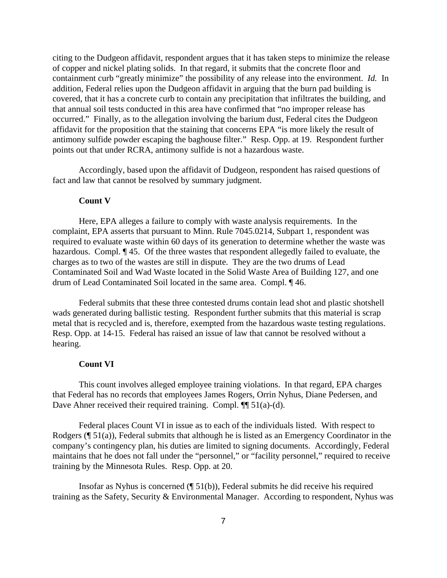citing to the Dudgeon affidavit, respondent argues that it has taken steps to minimize the release of copper and nickel plating solids. In that regard, it submits that the concrete floor and containment curb "greatly minimize" the possibility of any release into the environment. *Id.* In addition, Federal relies upon the Dudgeon affidavit in arguing that the burn pad building is covered, that it has a concrete curb to contain any precipitation that infiltrates the building, and that annual soil tests conducted in this area have confirmed that "no improper release has occurred." Finally, as to the allegation involving the barium dust, Federal cites the Dudgeon affidavit for the proposition that the staining that concerns EPA "is more likely the result of antimony sulfide powder escaping the baghouse filter." Resp. Opp. at 19. Respondent further points out that under RCRA, antimony sulfide is not a hazardous waste.

Accordingly, based upon the affidavit of Dudgeon, respondent has raised questions of fact and law that cannot be resolved by summary judgment.

#### **Count V**

Here, EPA alleges a failure to comply with waste analysis requirements. In the complaint, EPA asserts that pursuant to Minn. Rule 7045.0214, Subpart 1, respondent was required to evaluate waste within 60 days of its generation to determine whether the waste was hazardous. Compl. ¶ 45. Of the three wastes that respondent allegedly failed to evaluate, the charges as to two of the wastes are still in dispute. They are the two drums of Lead Contaminated Soil and Wad Waste located in the Solid Waste Area of Building 127, and one drum of Lead Contaminated Soil located in the same area. Compl. ¶ 46.

Federal submits that these three contested drums contain lead shot and plastic shotshell wads generated during ballistic testing. Respondent further submits that this material is scrap metal that is recycled and is, therefore, exempted from the hazardous waste testing regulations. Resp. Opp. at 14-15. Federal has raised an issue of law that cannot be resolved without a hearing.

#### **Count VI**

This count involves alleged employee training violations. In that regard, EPA charges that Federal has no records that employees James Rogers, Orrin Nyhus, Diane Pedersen, and Dave Ahner received their required training. Compl.  $\P$  51(a)-(d).

Federal places Count VI in issue as to each of the individuals listed. With respect to Rodgers (¶ 51(a)), Federal submits that although he is listed as an Emergency Coordinator in the company's contingency plan, his duties are limited to signing documents. Accordingly, Federal maintains that he does not fall under the "personnel," or "facility personnel," required to receive training by the Minnesota Rules. Resp. Opp. at 20.

Insofar as Nyhus is concerned (¶ 51(b)), Federal submits he did receive his required training as the Safety, Security & Environmental Manager. According to respondent, Nyhus was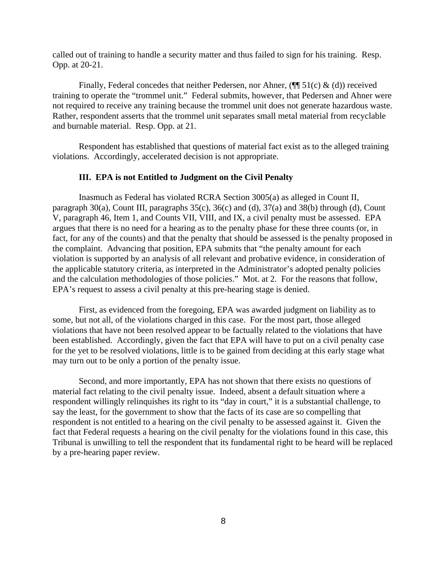called out of training to handle a security matter and thus failed to sign for his training. Resp. Opp. at 20-21.

Finally, Federal concedes that neither Pedersen, nor Ahner,  $(\P\P 51(c) \& (d))$  received training to operate the "trommel unit." Federal submits, however, that Pedersen and Ahner were not required to receive any training because the trommel unit does not generate hazardous waste. Rather, respondent asserts that the trommel unit separates small metal material from recyclable and burnable material. Resp. Opp. at 21.

Respondent has established that questions of material fact exist as to the alleged training violations. Accordingly, accelerated decision is not appropriate.

### **III. EPA is not Entitled to Judgment on the Civil Penalty**

Inasmuch as Federal has violated RCRA Section 3005(a) as alleged in Count II, paragraph 30(a), Count III, paragraphs 35(c), 36(c) and (d), 37(a) and 38(b) through (d), Count V, paragraph 46, Item 1, and Counts VII, VIII, and IX, a civil penalty must be assessed. EPA argues that there is no need for a hearing as to the penalty phase for these three counts (or, in fact, for any of the counts) and that the penalty that should be assessed is the penalty proposed in the complaint. Advancing that position, EPA submits that "the penalty amount for each violation is supported by an analysis of all relevant and probative evidence, in consideration of the applicable statutory criteria, as interpreted in the Administrator's adopted penalty policies and the calculation methodologies of those policies." Mot. at 2. For the reasons that follow, EPA's request to assess a civil penalty at this pre-hearing stage is denied.

First, as evidenced from the foregoing, EPA was awarded judgment on liability as to some, but not all, of the violations charged in this case. For the most part, those alleged violations that have not been resolved appear to be factually related to the violations that have been established. Accordingly, given the fact that EPA will have to put on a civil penalty case for the yet to be resolved violations, little is to be gained from deciding at this early stage what may turn out to be only a portion of the penalty issue.

Second, and more importantly, EPA has not shown that there exists no questions of material fact relating to the civil penalty issue. Indeed, absent a default situation where a respondent willingly relinquishes its right to its "day in court," it is a substantial challenge, to say the least, for the government to show that the facts of its case are so compelling that respondent is not entitled to a hearing on the civil penalty to be assessed against it. Given the fact that Federal requests a hearing on the civil penalty for the violations found in this case, this Tribunal is unwilling to tell the respondent that its fundamental right to be heard will be replaced by a pre-hearing paper review.